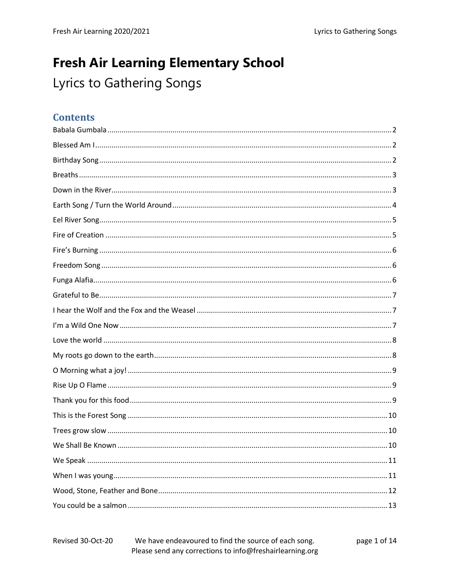# **Fresh Air Learning Elementary School** Lyrics to Gathering Songs

### **Contents**

#### We have endeavoured to find the source of each song. Revised 30-Oct-20 page 1 of 14 Please send any corrections to info@freshairlearning.org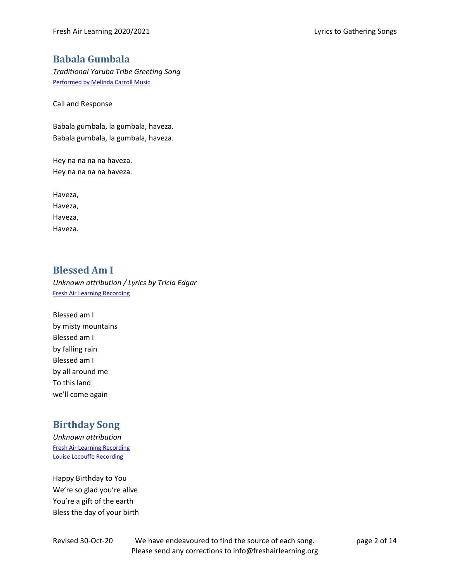### <span id="page-1-0"></span>**Babala Gumbala**

*Traditional Yaruba Tribe Greeting Song*  [Performed by Melinda Carroll Music](https://www.youtube.com/watch?v=Kp60wo3Vjr8)

Call and Response

Babala gumbala, la gumbala, haveza. Babala gumbala, la gumbala, haveza.

Hey na na na na haveza. Hey na na na na haveza.

Haveza, Haveza, Haveza, Haveza.

## <span id="page-1-1"></span>**Blessed Am I**

*Unknown attribution / Lyrics by Tricia Edgar* [Fresh Air Learning Recording](https://soundcloud.com/user-493822681/blessed-am-i-fal/s-og8aX)

Blessed am I by misty mountains Blessed am I by falling rain Blessed am I by all around me To this land we'll come again

### <span id="page-1-2"></span>**Birthday Song**

*Unknown attribution* [Fresh Air Learning Recording](https://soundcloud.com/user-493822681/fal-happy-birthday-to-you/s-6lpkQ) [Louise Lecouffe Recording](https://www.youtube.com/watch?v=e3P-FF5Fo8E)

Happy Birthday to You We're so glad you're alive You're a gift of the earth Bless the day of your birth

Revised 30-Oct-20 We have endeavoured to find the source of each song. page 2 of 14 Please send any corrections to info@freshairlearning.org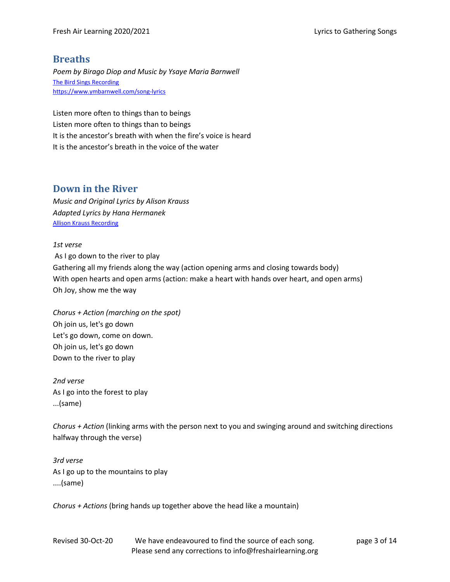### <span id="page-2-0"></span>**Breaths**

*Poem by Birago Diop and Music by Ysaye Maria Barnwell* [The Bird Sings Recording](https://thebirdsings.com/breaths/) https://www.ymbarnwell.com/song-lyrics

Listen more often to things than to beings Listen more often to things than to beings It is the ancestor's breath with when the fire's voice is heard It is the ancestor's breath in the voice of the water

### <span id="page-2-1"></span>**Down in the River**

*Music and Original Lyrics by Alison Krauss Adapted Lyrics by Hana Hermanek* [Allison Krauss Recording](https://www.youtube.com/watch?v=zSif77IVQdY)

*1st verse* As I go down to the river to play Gathering all my friends along the way (action opening arms and closing towards body) With open hearts and open arms (action: make a heart with hands over heart, and open arms) Oh Joy, show me the way

*Chorus + Action (marching on the spot)* Oh join us, let's go down Let's go down, come on down. Oh join us, let's go down Down to the river to play

*2nd verse* As I go into the forest to play ...(same)

*Chorus + Action* (linking arms with the person next to you and swinging around and switching directions halfway through the verse)

*3rd verse* As I go up to the mountains to play ....(same)

*Chorus + Actions* (bring hands up together above the head like a mountain)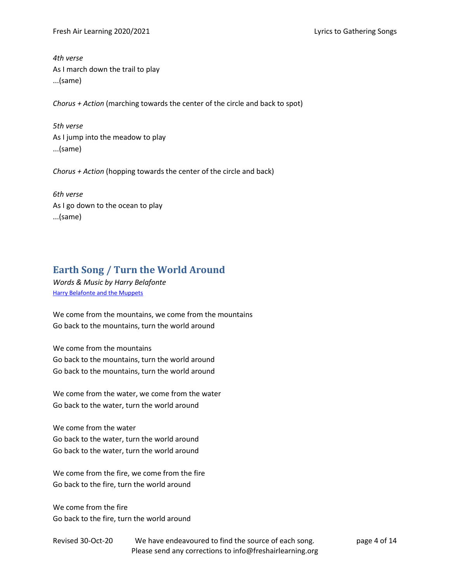*4th verse* As I march down the trail to play ...(same)

*Chorus + Action* (marching towards the center of the circle and back to spot)

*5th verse* As I jump into the meadow to play ...(same)

*Chorus + Action* (hopping towards the center of the circle and back)

*6th verse* As I go down to the ocean to play ...(same)

### <span id="page-3-0"></span>**Earth Song / Turn the World Around**

*Words & Music by Harry Belafonte* [Harry Belafonte and the Muppets](https://youtu.be/tPaKWihFs_Q)

We come from the mountains, we come from the mountains Go back to the mountains, turn the world around

We come from the mountains Go back to the mountains, turn the world around Go back to the mountains, turn the world around

We come from the water, we come from the water Go back to the water, turn the world around

We come from the water Go back to the water, turn the world around Go back to the water, turn the world around

We come from the fire, we come from the fire Go back to the fire, turn the world around

We come from the fire Go back to the fire, turn the world around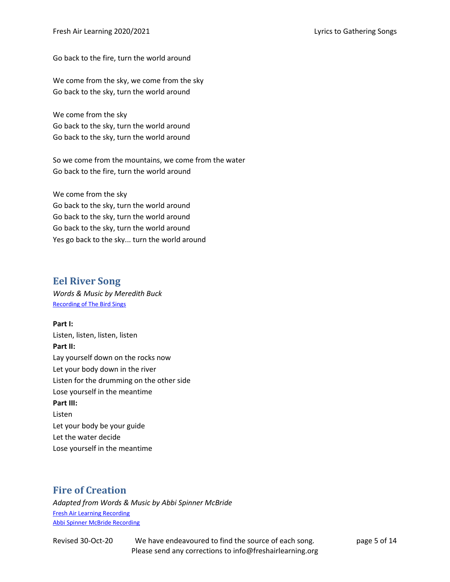Go back to the fire, turn the world around

We come from the sky, we come from the sky Go back to the sky, turn the world around

We come from the sky Go back to the sky, turn the world around Go back to the sky, turn the world around

So we come from the mountains, we come from the water Go back to the fire, turn the world around

We come from the sky Go back to the sky, turn the world around Go back to the sky, turn the world around Go back to the sky, turn the world around Yes go back to the sky... turn the world around

### <span id="page-4-0"></span>**Eel River Song**

*Words & Music by Meredith Buck* Recording [of The Bird Sings](https://thebirdsings.com/listen/)

**Part I:** Listen, listen, listen, listen **Part II:** Lay yourself down on the rocks now Let your body down in the river Listen for the drumming on the other side Lose yourself in the meantime **Part III:** Listen Let your body be your guide Let the water decide Lose yourself in the meantime

## <span id="page-4-1"></span>**Fire of Creation**

*Adapted from Words & Music by Abbi Spinner McBride* [Fresh Air Learning Recording](https://soundcloud.com/user-493822681/fal-fire-of-creation/s-eb5kP) [Abbi Spinner McBride Recording](https://www.youtube.com/watch?v=chapytkoxww)

Revised 30-Oct-20 We have endeavoured to find the source of each song. page 5 of 14 Please send any corrections to info@freshairlearning.org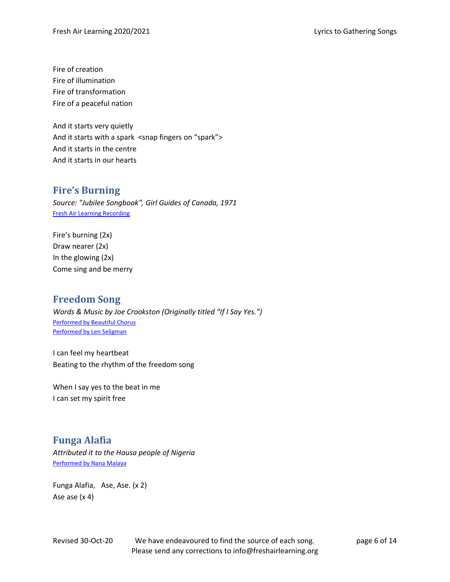Fire of creation Fire of illumination Fire of transformation Fire of a peaceful nation

And it starts very quietly And it starts with a spark <snap fingers on "spark"> And it starts in the centre And it starts in our hearts

### <span id="page-5-0"></span>**Fire's Burning**

*Source: "Jubilee Songbook", Girl Guides of Canada, 1971* [Fresh Air Learning Recording](https://soundcloud.com/user-493822681/fal-fires-burning/s-K5N6S)

Fire's burning (2x) Draw nearer (2x) In the glowing (2x) Come sing and be merry

### <span id="page-5-1"></span>**Freedom Song**

*Words & Music by Joe Crookston (Originally titled "If I Say Yes.")* [Performed by Beautiful Chorus](https://beautifulchorus.bandcamp.com/track/freedom-song) [Performed by Len Seligman](https://lenseligman.com/track/1210320/freedom-song)

I can feel my heartbeat Beating to the rhythm of the freedom song

When I say yes to the beat in me I can set my spirit free

### <span id="page-5-2"></span>**Funga Alafia**

*Attributed it to the Hausa people of Nigeria* [Performed by Nana Malaya](https://www.youtube.com/watch?v=GTegkMJq15M&list=LLYMsvwbpv0q6tCbDBJSt4JQ&index=234)

Funga Alafia, Ase, Ase. (x 2) Ase ase (x 4)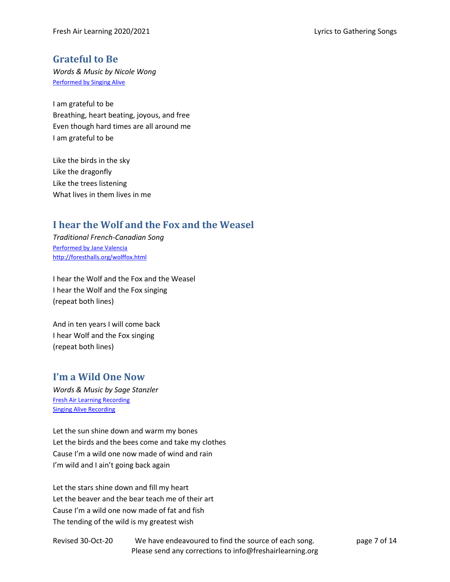### <span id="page-6-0"></span>**Grateful to Be**

*Words & Music by Nicole Wong* [Performed by Singing Alive](http://singingalive.org/2014/12/04/grateful-to-be/)

I am grateful to be Breathing, heart beating, joyous, and free Even though hard times are all around me I am grateful to be

Like the birds in the sky Like the dragonfly Like the trees listening What lives in them lives in me

### <span id="page-6-1"></span>**I hear the Wolf and the Fox and the Weasel**

*Traditional French-Canadian Song* [Performed by Jane Valencia](http://foresthalls.org/mp3/WolfFox.mp3) <http://foresthalls.org/wolffox.html>

I hear the Wolf and the Fox and the Weasel I hear the Wolf and the Fox singing (repeat both lines)

And in ten years I will come back I hear Wolf and the Fox singing (repeat both lines)

### <span id="page-6-2"></span>**I'm a Wild One Now**

*Words & Music by Sage Stanzler* [Fresh Air Learning Recording](https://soundcloud.com/user-493822681/fal-i-am-a-wild-one-now/s-BSl4K) [Singing Alive Recording](http://singingalive.org/2016/10/20/im-a-wild-one-now/)

Let the sun shine down and warm my bones Let the birds and the bees come and take my clothes Cause I'm a wild one now made of wind and rain I'm wild and I ain't going back again

Let the stars shine down and fill my heart Let the beaver and the bear teach me of their art Cause I'm a wild one now made of fat and fish The tending of the wild is my greatest wish

Revised 30-Oct-20 We have endeavoured to find the source of each song. page 7 of 14 Please send any corrections to info@freshairlearning.org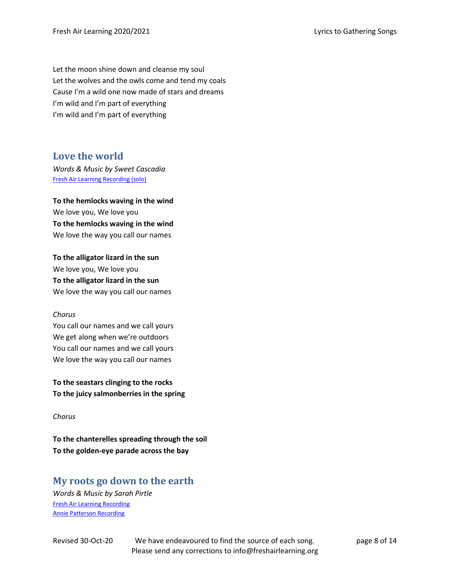Let the moon shine down and cleanse my soul Let the wolves and the owls come and tend my coals Cause I'm a wild one now made of stars and dreams I'm wild and I'm part of everything I'm wild and I'm part of everything

### <span id="page-7-0"></span>**Love the world**

*Words & Music by Sweet Cascadia* [Fresh Air Learning Recording \(solo\)](https://soundcloud.com/user-493822681/fal-love-the-world-solo/s-QR9Ux)

**To the hemlocks waving in the wind** We love you, We love you **To the hemlocks waving in the wind** We love the way you call our names

**To the alligator lizard in the sun** We love you, We love you **To the alligator lizard in the sun**  We love the way you call our names

#### *Chorus*

You call our names and we call yours We get along when we're outdoors You call our names and we call yours We love the way you call our names

**To the seastars clinging to the rocks To the juicy salmonberries in the spring**

#### *Chorus*

**To the chanterelles spreading through the soil To the golden-eye parade across the bay**

### <span id="page-7-1"></span>**My roots go down to the earth**

*Words & Music by Sarah Pirtle* [Fresh Air Learning Recording](https://soundcloud.com/user-493822681/fal-my-roots-go-down/s-3ntol) [Annie Patterson Recording](https://www.youtube.com/watch?v=nZJfRunmd8c)

Revised 30-Oct-20 We have endeavoured to find the source of each song. page 8 of 14 Please send any corrections to info@freshairlearning.org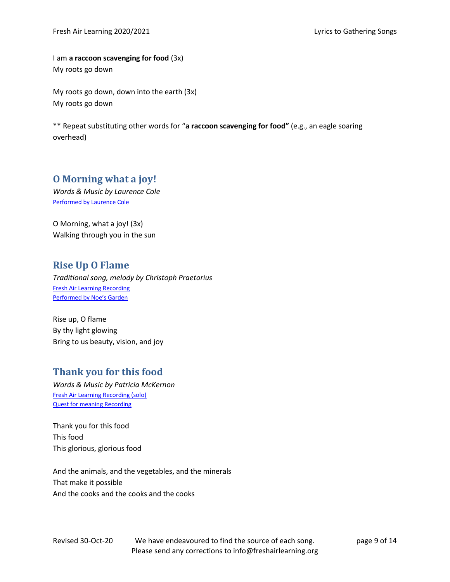I am **a raccoon scavenging for food** (3x) My roots go down

My roots go down, down into the earth (3x) My roots go down

\*\* Repeat substituting other words for "**a raccoon scavenging for food"** (e.g., an eagle soaring overhead)

### <span id="page-8-0"></span>**O Morning what a joy!**

*Words & Music by Laurence Cole* [Performed by Laurence Cole](http://www.laurencecole.com/album/oh-morning/)

O Morning, what a joy! (3x) Walking through you in the sun

### <span id="page-8-1"></span>**Rise Up O Flame**

*Traditional song, melody by Christoph Praetorius* [Fresh Air Learning Recording](https://soundcloud.com/user-493822681/fal-rise-up-o-flame/s-Rkeeh) [Performed by](https://www.youtube.com/watch?v=-cHPPK525tI) Noe's Garden

Rise up, O flame By thy light glowing Bring to us beauty, vision, and joy

### <span id="page-8-2"></span>**Thank you for this food**

*Words & Music by Patricia McKernon* [Fresh Air Learning Recording \(solo\)](https://soundcloud.com/user-493822681/fal-thank-you-for-this-food/s-Msegh) [Quest for meaning Recording](https://www.questformeaning.org/family-quest/meal-blessing/)

Thank you for this food This food This glorious, glorious food

And the animals, and the vegetables, and the minerals That make it possible And the cooks and the cooks and the cooks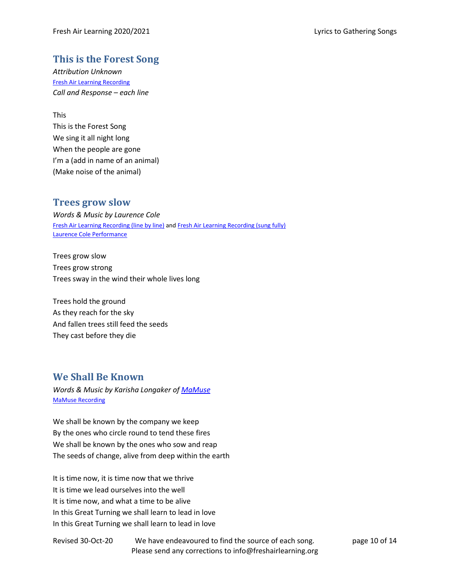### <span id="page-9-0"></span>**This is the Forest Song**

*Attribution Unknown* [Fresh Air Learning Recording](https://soundcloud.com/user-493822681/fal-this-is-the-forest-song/s-KGFqg) *Call and Response – each line*

This

This is the Forest Song We sing it all night long When the people are gone I'm a (add in name of an animal) (Make noise of the animal)

### <span id="page-9-1"></span>**Trees grow slow**

*Words & Music by Laurence Cole* [Fresh Air Learning Recording](https://soundcloud.com/user-493822681/fal-trees-go-slow-line-by-line/s-26mEv) (line by line) an[d Fresh Air Learning Recording \(sung fully\)](https://soundcloud.com/user-493822681/fal-trees-grow-slow/s-3M5ka) [Laurence Cole Performance](https://www.laurencecole.com/album/trees-grow-slow/)

Trees grow slow Trees grow strong Trees sway in the wind their whole lives long

Trees hold the ground As they reach for the sky And fallen trees still feed the seeds They cast before they die

### <span id="page-9-2"></span>**We Shall Be Known**

*Words & Music by Karisha Longaker o[f MaMuse](https://www.mamuse.org/)* [MaMuse Recording](https://www.youtube.com/watch?v=dX11MEtbkXI)

We shall be known by the company we keep By the ones who circle round to tend these fires We shall be known by the ones who sow and reap The seeds of change, alive from deep within the earth

It is time now, it is time now that we thrive It is time we lead ourselves into the well It is time now, and what a time to be alive In this Great Turning we shall learn to lead in love In this Great Turning we shall learn to lead in love

Revised 30-Oct-20 We have endeavoured to find the source of each song. page 10 of 14 Please send any corrections to info@freshairlearning.org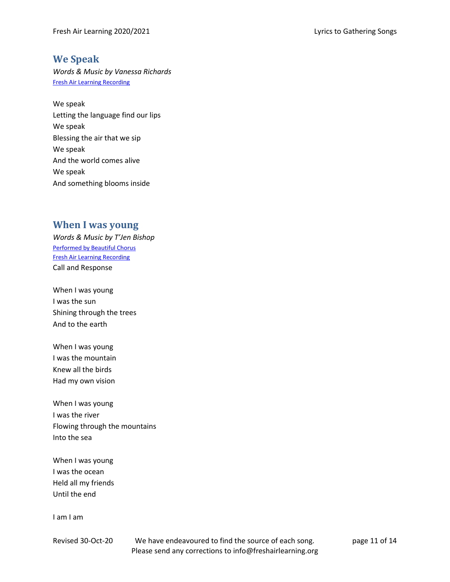### <span id="page-10-0"></span>**We Speak**

*Words & Music by Vanessa Richards* [Fresh Air Learning Recording](https://soundcloud.com/user-493822681/we-speak-by-vanessa-richards/s-mtQMSIEr8yd)

We speak Letting the language find our lips We speak Blessing the air that we sip We speak And the world comes alive We speak And something blooms inside

### <span id="page-10-1"></span>**When I was young**

*Words & Music by T'Jen Bishop* [Performed by Beautiful Chorus](https://beautifulchorus.bandcamp.com/track/when-i-was-young) [Fresh Air Learning Recording](https://soundcloud.com/user-493822681/fal-when-i-was-young/s-cadbL#t=0:16) Call and Response

When I was young I was the sun Shining through the trees And to the earth

When I was young I was the mountain Knew all the birds Had my own vision

When I was young I was the river Flowing through the mountains Into the sea

When I was young I was the ocean Held all my friends Until the end

I am I am

Revised 30-Oct-20 We have endeavoured to find the source of each song. page 11 of 14 Please send any corrections to info@freshairlearning.org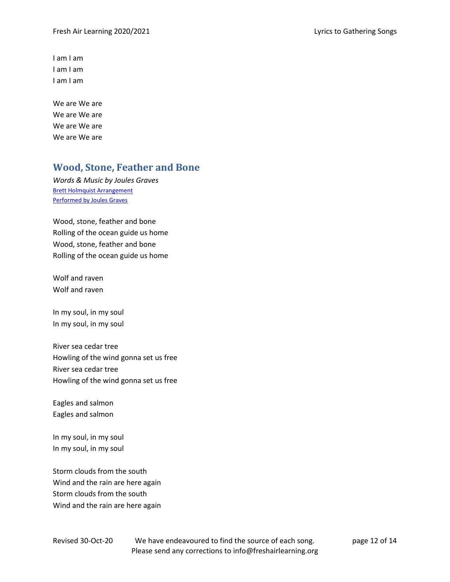I am I am I am I am I am I am

We are We are We are We are We are We are We are We are

### <span id="page-11-0"></span>**Wood, Stone, Feather and Bone**

*Words & Music by Joules Graves* [Brett Holmquist Arrangement](https://www.youtube.com/watch?v=RTsGetWf0aI) [Performed by Joules Graves](https://www.youtube.com/watch?v=tZgTi-Vi3ow)

Wood, stone, feather and bone Rolling of the ocean guide us home Wood, stone, feather and bone Rolling of the ocean guide us home

Wolf and raven Wolf and raven

In my soul, in my soul In my soul, in my soul

River sea cedar tree Howling of the wind gonna set us free River sea cedar tree Howling of the wind gonna set us free

Eagles and salmon Eagles and salmon

In my soul, in my soul In my soul, in my soul

Storm clouds from the south Wind and the rain are here again Storm clouds from the south Wind and the rain are here again

Revised 30-Oct-20 We have endeavoured to find the source of each song. page 12 of 14 Please send any corrections to info@freshairlearning.org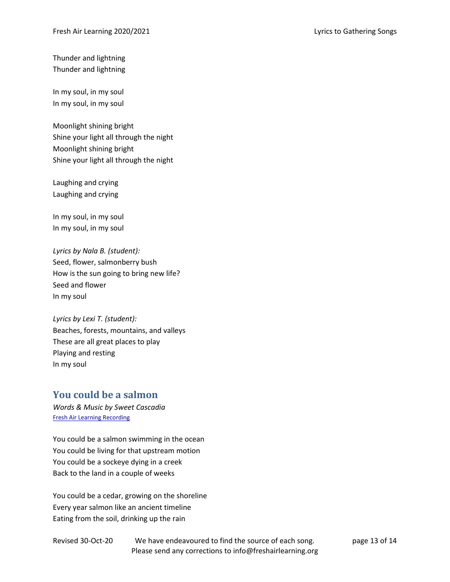Thunder and lightning Thunder and lightning

In my soul, in my soul In my soul, in my soul

Moonlight shining bright Shine your light all through the night Moonlight shining bright Shine your light all through the night

Laughing and crying Laughing and crying

In my soul, in my soul In my soul, in my soul

*Lyrics by Nala B. (student):* Seed, flower, salmonberry bush How is the sun going to bring new life? Seed and flower In my soul

*Lyrics by Lexi T. (student):* Beaches, forests, mountains, and valleys These are all great places to play Playing and resting In my soul

### <span id="page-12-0"></span>**You could be a salmon**

*Words & Music by Sweet Cascadia* [Fresh Air Learning Recording](https://soundcloud.com/user-493822681/fal-you-could-be-a-salmon-all/s-od0xq)

You could be a salmon swimming in the ocean You could be living for that upstream motion You could be a sockeye dying in a creek Back to the land in a couple of weeks

You could be a cedar, growing on the shoreline Every year salmon like an ancient timeline Eating from the soil, drinking up the rain

Revised 30-Oct-20 We have endeavoured to find the source of each song. page 13 of 14 Please send any corrections to info@freshairlearning.org